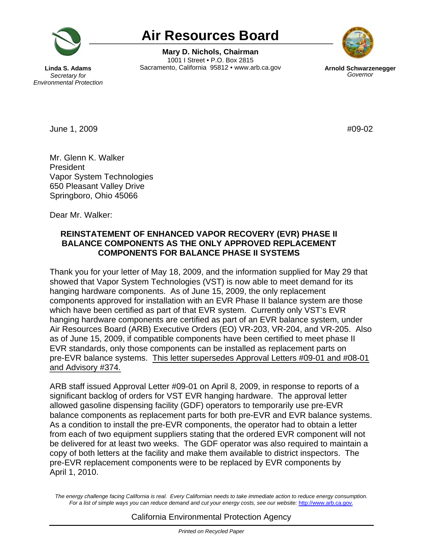

# **Air Resources Board**

**Mary D. Nichols, Chairman**  1001 I Street • P.O. Box 2815 **Linda S. Adams Sacramento, California 95812 •<www.arb.ca.gov><b>Arnold Schwarzenegger Secretary for Secretary** for



**Secretary for** *Environmental Protection* 

June 1, 2009 **#09-02** 

Mr. Glenn K. Walker President Vapor System Technologies 650 Pleasant Valley Drive Springboro, Ohio 45066

Dear Mr. Walker:

## **REINSTATEMENT OF ENHANCED VAPOR RECOVERY (EVR) PHASE II BALANCE COMPONENTS AS THE ONLY APPROVED REPLACEMENT COMPONENTS FOR BALANCE PHASE II SYSTEMS**

and Advisory #374. Thank you for your letter of May 18, 2009, and the information supplied for May 29 that showed that Vapor System Technologies (VST) is now able to meet demand for its hanging hardware components. As of June 15, 2009, the only replacement components approved for installation with an EVR Phase II balance system are those which have been certified as part of that EVR system. Currently only VST's EVR hanging hardware components are certified as part of an EVR balance system, under Air Resources Board (ARB) Executive Orders (EO) VR-203, VR-204, and VR-205. Also as of June 15, 2009, if compatible components have been certified to meet phase II EVR standards, only those components can be installed as replacement parts on pre-EVR balance systems. This letter supersedes Approval Letters #09-01 and #08-01

ARB staff issued Approval Letter #09-01 on April 8, 2009, in response to reports of a significant backlog of orders for VST EVR hanging hardware. The approval letter allowed gasoline dispensing facility (GDF) operators to temporarily use pre-EVR balance components as replacement parts for both pre-EVR and EVR balance systems. As a condition to install the pre-EVR components, the operator had to obtain a letter from each of two equipment suppliers stating that the ordered EVR component will not be delivered for at least two weeks. The GDF operator was also required to maintain a copy of both letters at the facility and make them available to district inspectors. The pre-EVR replacement components were to be replaced by EVR components by April 1, 2010.

The energy challenge facing California is real. Every Californian needs to take immediate action to reduce energy consumption. Fora list of simple ways you can reduce demand and cut your energy costs, see our website: http://www.arb.ca.gov.

### California Environmental Protection Agency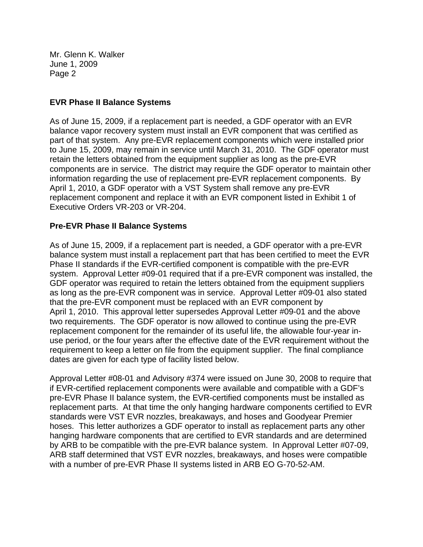#### **EVR Phase II Balance Systems**

As of June 15, 2009, if a replacement part is needed, a GDF operator with an EVR balance vapor recovery system must install an EVR component that was certified as part of that system. Any pre-EVR replacement components which were installed prior to June 15, 2009, may remain in service until March 31, 2010. The GDF operator must retain the letters obtained from the equipment supplier as long as the pre-EVR components are in service. The district may require the GDF operator to maintain other information regarding the use of replacement pre-EVR replacement components. By April 1, 2010, a GDF operator with a VST System shall remove any pre-EVR replacement component and replace it with an EVR component listed in Exhibit 1 of Executive Orders VR-203 or VR-204.

### **Pre-EVR Phase II Balance Systems**

As of June 15, 2009, if a replacement part is needed, a GDF operator with a pre-EVR balance system must install a replacement part that has been certified to meet the EVR Phase II standards if the EVR-certified component is compatible with the pre-EVR system. Approval Letter #09-01 required that if a pre-EVR component was installed, the GDF operator was required to retain the letters obtained from the equipment suppliers as long as the pre-EVR component was in service. Approval Letter #09-01 also stated that the pre-EVR component must be replaced with an EVR component by April 1, 2010. This approval letter supersedes Approval Letter #09-01 and the above two requirements. The GDF operator is now allowed to continue using the pre-EVR replacement component for the remainder of its useful life, the allowable four-year inuse period, or the four years after the effective date of the EVR requirement without the requirement to keep a letter on file from the equipment supplier. The final compliance dates are given for each type of facility listed below.

Approval Letter #08-01 and Advisory #374 were issued on June 30, 2008 to require that if EVR-certified replacement components were available and compatible with a GDF's pre-EVR Phase II balance system, the EVR-certified components must be installed as replacement parts. At that time the only hanging hardware components certified to EVR standards were VST EVR nozzles, breakaways, and hoses and Goodyear Premier hoses. This letter authorizes a GDF operator to install as replacement parts any other hanging hardware components that are certified to EVR standards and are determined by ARB to be compatible with the pre-EVR balance system. In Approval Letter #07-09, ARB staff determined that VST EVR nozzles, breakaways, and hoses were compatible with a number of pre-EVR Phase II systems listed in ARB EO G-70-52-AM.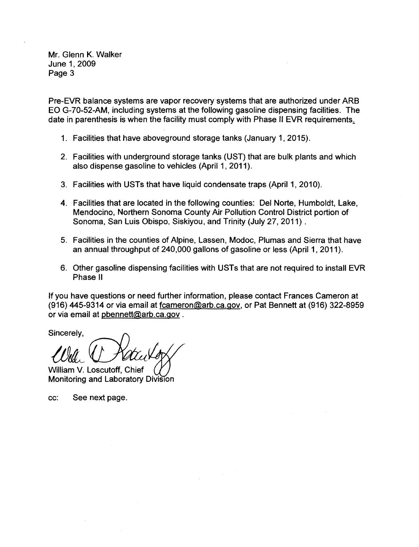Pre-EVR balance systems are vapor recovery systems that are authorized under ARB EO G-70-52-AM, including systems at the following gasoline dispensing facilities. The date in parenthesis is when the facility must comply with Phase II EVR requirements.

- 1. Facilities that have aboveground storage tanks (January 1, 2015).
- 2. Facilities with underground storage tanks (UST) that are bulk plants and which also dispense gasoline to vehicles (April 1, 2011).
- 3. Facilities with USTs that have liquid condensate traps (April 1, 2010).
- **4.** Facilities that are located in the following counties: Del Norte, Humboldt, Lake, Mendocino, Northern Sonoma County Air Pollution Control District portion of Sonoma, San Luis Obispo, Siskiyou, and Trinity (July 27, 2011).
- 5. Facilities in the counties of Alpine, Lassen, Modoc, Plumas and Sierra that have an annual throughput of 240,000 gallons of gasoline or less (April 1, 2011).
- 6. Other gasoline dispensing facilities with USTs that are not required to install EVR Phase II

If you have questions or need further information, please contact Frances Cameron at (916) 445-9314 or via email at [fcameron@arb.ca.gov](mailto:fcameron@arb.ca.gov), or Pat Bennett at (916) 322-8959 or via email at [pbennett@arb.ca.gov](mailto:pbennett@arb.ca.gov) .

or via email at phennett@arb.ca<br>Sincerely,<br>LUnd, ( Ratculo LURA WACCULOY<br>William V. Loscutoff, Chief Woonitoring and Laboratory Division

cc: See next page.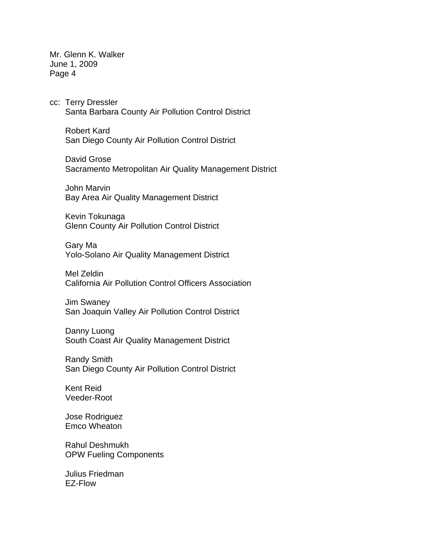cc: Terry Dressler Santa Barbara County Air Pollution Control District

 Robert Kard San Diego County Air Pollution Control District

 David Grose Sacramento Metropolitan Air Quality Management District

 John Marvin Bay Area Air Quality Management District

 Kevin Tokunaga Glenn County Air Pollution Control District

 Gary Ma Yolo-Solano Air Quality Management District

 Mel Zeldin California Air Pollution Control Officers Association

 Jim Swaney San Joaquin Valley Air Pollution Control District

 Danny Luong South Coast Air Quality Management District

 Randy Smith San Diego County Air Pollution Control District

 Kent Reid Veeder-Root

 Jose Rodriguez Emco Wheaton

 Rahul Deshmukh OPW Fueling Components

 Julius Friedman EZ-Flow